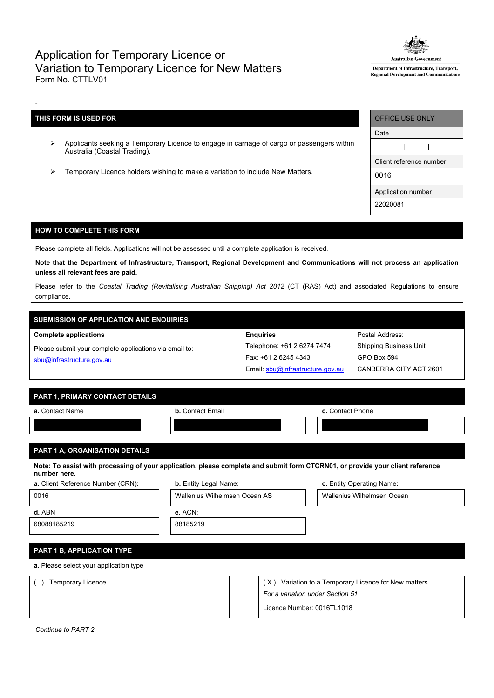## Application for Temporary Licence or Variation to Temporary Licence for New Matters Form No. CTTLV01



Department of Infrastructure, Transport, Regional Development and Communications

## **THIS FORM IS USED FOR**

-

- Applicants seeking a Temporary Licence to engage in carriage of cargo or passengers within Australia (Coastal Trading).
- Temporary Licence holders wishing to make a variation to include New Matters.

| OFFICE USE ONLY         |  |  |  |  |
|-------------------------|--|--|--|--|
| Date                    |  |  |  |  |
|                         |  |  |  |  |
| Client reference number |  |  |  |  |
| 0016                    |  |  |  |  |
| Application number      |  |  |  |  |
| 22020081                |  |  |  |  |

## **HOW TO COMPLETE THIS FORM**

Please complete all fields. Applications will not be assessed until a complete application is received.

Note that the Department of Infrastructure, Transport, Regional Development and Communications will not process an application **unless all relevant fees are paid.**

Please refer to the *Coastal Trading (Revitalising Australian Shipping) Act 2012* (CT (RAS) Act) and associated Regulations to ensure compliance.

# **SUBMISSION OF APPLICATION AND ENQUIRIES**

#### **Complete applications**

Please submit your complete applications via email to: [sbu@infrastructure.gov.au](mailto:sbu@infrastructure.gov.au)

| <b>Enquiries</b>                 |
|----------------------------------|
| Telephone: +61 2 6274 7474       |
| Fax: +61 2 6245 4343             |
| Email: sbu@infrastructure.gov.au |

Postal Address: Shipping Business Unit GPO Box 594 CANBERRA CITY ACT 2601

## **PART 1, PRIMARY CONTACT DETAILS**

| a. Contact Name | <b>b.</b> Contact Email | c. Contact Phone |
|-----------------|-------------------------|------------------|
|                 |                         |                  |
|                 |                         |                  |

## **PART 1 A, ORGANISATION DETAILS**

Note: To assist with processing of your application, please complete and submit form CTCRN01, or provide your client reference **number here.**

| <b>a.</b> Client Reference Number (CRN): | <b>b.</b> Entity Legal Name:  | c. Entity Operating Name:                               |
|------------------------------------------|-------------------------------|---------------------------------------------------------|
| 0016                                     | Wallenius Wilhelmsen Ocean AS | Wallenius Wilhelmsen Ocean                              |
| d. ABN                                   | e. ACN:                       |                                                         |
| 68088185219                              | 88185219                      |                                                         |
|                                          |                               |                                                         |
| PART 1 B, APPLICATION TYPE               |                               |                                                         |
| a. Please select your application type   |                               |                                                         |
| Temporary Licence                        |                               | Variation to a Temporary Licence for New matters<br>(X) |

*For a variation under Section 51*

Licence Number: 0016TL1018

*Continue to PART 2*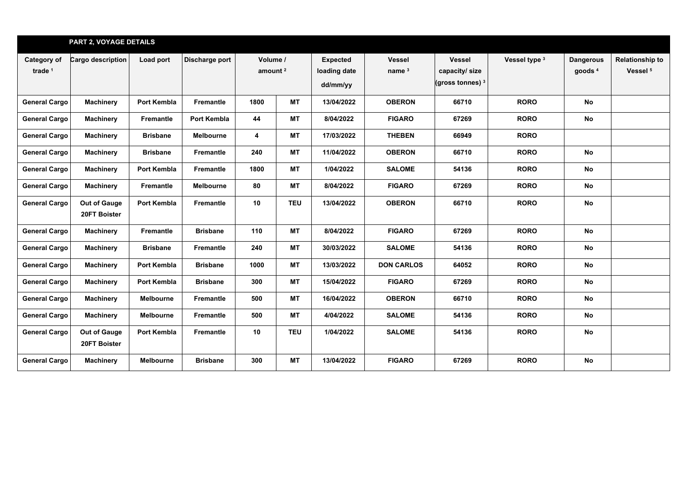|                                          | <b>PART 2, VOYAGE DETAILS</b>       |                  |                  |                                 |            |                                             |                           |                                                                |               |                                        |                                               |
|------------------------------------------|-------------------------------------|------------------|------------------|---------------------------------|------------|---------------------------------------------|---------------------------|----------------------------------------------------------------|---------------|----------------------------------------|-----------------------------------------------|
| <b>Category of</b><br>trade <sup>1</sup> | Cargo description                   | Load port        | Discharge port   | Volume /<br>amount <sup>2</sup> |            | <b>Expected</b><br>loading date<br>dd/mm/yy | <b>Vessel</b><br>name $3$ | <b>Vessel</b><br>capacity/ size<br>(gross tonnes) <sup>3</sup> | Vessel type 3 | <b>Dangerous</b><br>goods <sup>4</sup> | <b>Relationship to</b><br>Vessel <sup>5</sup> |
| <b>General Cargo</b>                     | <b>Machinery</b>                    | Port Kembla      | Fremantle        | 1800                            | <b>MT</b>  | 13/04/2022                                  | <b>OBERON</b>             | 66710                                                          | <b>RORO</b>   | <b>No</b>                              |                                               |
| <b>General Cargo</b>                     | <b>Machinery</b>                    | <b>Fremantle</b> | Port Kembla      | 44                              | <b>MT</b>  | 8/04/2022                                   | <b>FIGARO</b>             | 67269                                                          | <b>RORO</b>   | <b>No</b>                              |                                               |
| <b>General Cargo</b>                     | <b>Machinery</b>                    | <b>Brisbane</b>  | <b>Melbourne</b> | 4                               | МT         | 17/03/2022                                  | <b>THEBEN</b>             | 66949                                                          | <b>RORO</b>   |                                        |                                               |
| <b>General Cargo</b>                     | <b>Machinery</b>                    | <b>Brisbane</b>  | Fremantle        | 240                             | <b>MT</b>  | 11/04/2022                                  | <b>OBERON</b>             | 66710                                                          | <b>RORO</b>   | <b>No</b>                              |                                               |
| <b>General Cargo</b>                     | <b>Machinery</b>                    | Port Kembla      | Fremantle        | 1800                            | <b>MT</b>  | 1/04/2022                                   | <b>SALOME</b>             | 54136                                                          | <b>RORO</b>   | <b>No</b>                              |                                               |
| <b>General Cargo</b>                     | <b>Machinery</b>                    | Fremantle        | <b>Melbourne</b> | 80                              | <b>MT</b>  | 8/04/2022                                   | <b>FIGARO</b>             | 67269                                                          | <b>RORO</b>   | <b>No</b>                              |                                               |
| <b>General Cargo</b>                     | <b>Out of Gauge</b><br>20FT Boister | Port Kembla      | Fremantle        | 10                              | <b>TEU</b> | 13/04/2022                                  | <b>OBERON</b>             | 66710                                                          | <b>RORO</b>   | <b>No</b>                              |                                               |
| <b>General Cargo</b>                     | <b>Machinery</b>                    | Fremantle        | <b>Brisbane</b>  | 110                             | <b>MT</b>  | 8/04/2022                                   | <b>FIGARO</b>             | 67269                                                          | <b>RORO</b>   | <b>No</b>                              |                                               |
| <b>General Cargo</b>                     | <b>Machinery</b>                    | <b>Brisbane</b>  | <b>Fremantle</b> | 240                             | МT         | 30/03/2022                                  | <b>SALOME</b>             | 54136                                                          | <b>RORO</b>   | <b>No</b>                              |                                               |
| <b>General Cargo</b>                     | <b>Machinery</b>                    | Port Kembla      | <b>Brisbane</b>  | 1000                            | <b>MT</b>  | 13/03/2022                                  | <b>DON CARLOS</b>         | 64052                                                          | <b>RORO</b>   | <b>No</b>                              |                                               |
| <b>General Cargo</b>                     | <b>Machinery</b>                    | Port Kembla      | <b>Brisbane</b>  | 300                             | <b>MT</b>  | 15/04/2022                                  | <b>FIGARO</b>             | 67269                                                          | <b>RORO</b>   | <b>No</b>                              |                                               |
| <b>General Cargo</b>                     | <b>Machinery</b>                    | Melbourne        | Fremantle        | 500                             | <b>MT</b>  | 16/04/2022                                  | <b>OBERON</b>             | 66710                                                          | <b>RORO</b>   | <b>No</b>                              |                                               |
| <b>General Cargo</b>                     | Machinery                           | Melbourne        | Fremantle        | 500                             | МT         | 4/04/2022                                   | <b>SALOME</b>             | 54136                                                          | <b>RORO</b>   | No                                     |                                               |
| <b>General Cargo</b>                     | Out of Gauge<br>20FT Boister        | Port Kembla      | Fremantle        | 10                              | <b>TEU</b> | 1/04/2022                                   | <b>SALOME</b>             | 54136                                                          | <b>RORO</b>   | No                                     |                                               |
| <b>General Cargo</b>                     | <b>Machinery</b>                    | <b>Melbourne</b> | <b>Brisbane</b>  | 300                             | <b>MT</b>  | 13/04/2022                                  | <b>FIGARO</b>             | 67269                                                          | <b>RORO</b>   | <b>No</b>                              |                                               |